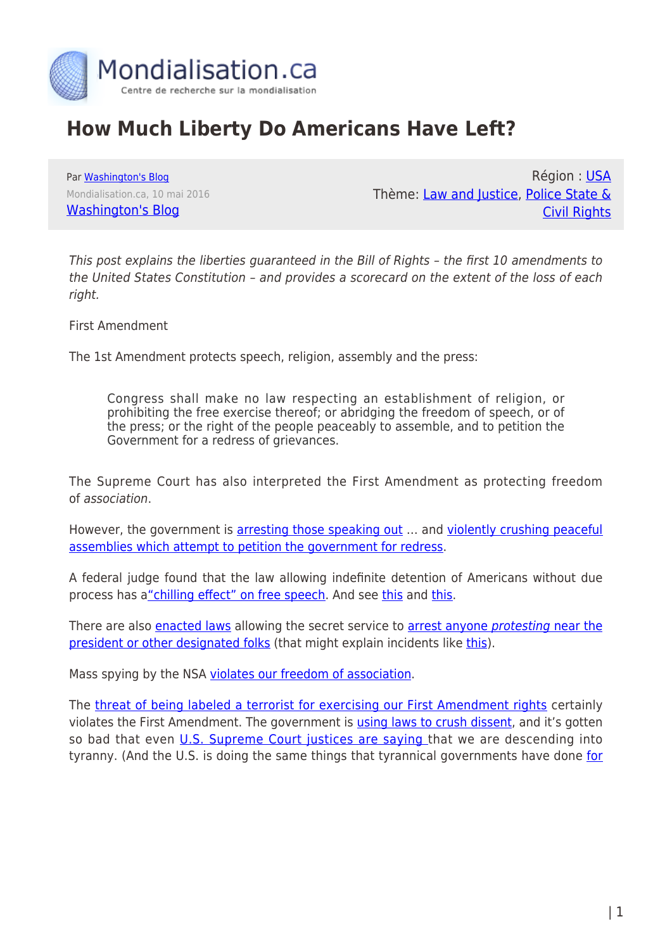

# **How Much Liberty Do Americans Have Left?**

Par [Washington's Blog](https://www.mondialisation.ca/author/washington-s-blog) Mondialisation.ca, 10 mai 2016 [Washington's Blog](http://www.washingtonsblog.com/2016/05/much-liberty-americans-left.html)

Région : [USA](https://www.mondialisation.ca/region/usa) Thème: [Law and Justice](https://www.mondialisation.ca/theme/law-and-justice), [Police State &](https://www.mondialisation.ca/theme/police-state-civil-rights) [Civil Rights](https://www.mondialisation.ca/theme/police-state-civil-rights)

This post explains the liberties guaranteed in the Bill of Rights – the first 10 amendments to the United States Constitution – and provides a scorecard on the extent of the loss of each right.

First Amendment

The 1st Amendment protects speech, religion, assembly and the press:

Congress shall make no law respecting an establishment of religion, or prohibiting the free exercise thereof; or abridging the freedom of speech, or of the press; or the right of the people peaceably to assemble, and to petition the Government for a redress of grievances.

The Supreme Court has also interpreted the First Amendment as protecting freedom of association.

However, the government is [arresting those speaking out](http://www.washingtonsblog.com/2013/08/keeping-our-heads-down-increases-the-danger.html) ... and [violently crushing peaceful](http://www.washingtonsblog.com/2012/12/government-and-big-banks-joined-forces-to-violently-crush-peaceful-protests.html) [assemblies which attempt to petition the government for redress.](http://www.washingtonsblog.com/2012/12/government-and-big-banks-joined-forces-to-violently-crush-peaceful-protests.html)

A federal judge found that the law allowing indefinite detention of Americans without due process has a["chilling effect" on free speech](http://www.businessinsider.com/ndaa-permanently-blocked-2012-9). And see [this](http://www.rawstory.com/rs/2012/04/03/hedges-ndaa-is-chilling-the-practice-of-journalism/) and [this](http://www.guardian.co.uk/commentisfree/cifamerica/2012/mar/28/helping-chris-hedges-lawsuit-ndaa).

There are also [enacted laws](http://www.huffingtonpost.com/jeanine-molloff/trespass-bill_b_1328205.html) allowing the secret service to [arrest anyone](http://reason.com/blog/2012/03/01/does-hr-347-the-trespass-bill-change-any) [protesting](http://reason.com/blog/2012/03/01/does-hr-347-the-trespass-bill-change-any) [near the](http://reason.com/blog/2012/03/01/does-hr-347-the-trespass-bill-change-any) [president or other designated folks](http://reason.com/blog/2012/03/01/does-hr-347-the-trespass-bill-change-any) (that might explain incidents like [this\)](http://www.progressive.org/mag_mc100406).

Mass spying by the NSA [violates our freedom of association.](http://www.washingtonsblog.com/2013/09/nsas-spying-on-our-metadata-violates-our-freedom-of-association.html)

The [threat of being labeled a terrorist for exercising our First Amendment rights](http://www.washingtonsblog.com/2013/08/u-s-government-may-on-a-whim-label-any-american-a-terrorist.html) certainly violates the First Amendment. The government is [using laws to crush dissent,](http://www.washingtonsblog.com/2012/02/government-uses-anti-terror-laws-to-crush-dissent-and-help-big-business.html) and it's gotten so bad that even *[U.S. Supreme Court justices are saying](http://www.washingtonsblog.com/2012/09/2-u-s-supreme-court-justices-and-numerous-other-top-government-officials-warn-of-dictatorship.html) that we are descending into* tyranny. (And the U.S. is doing the same things that tyrannical governments have done [for](http://www.washingtonsblog.com/2014/06/spying-different-time.html)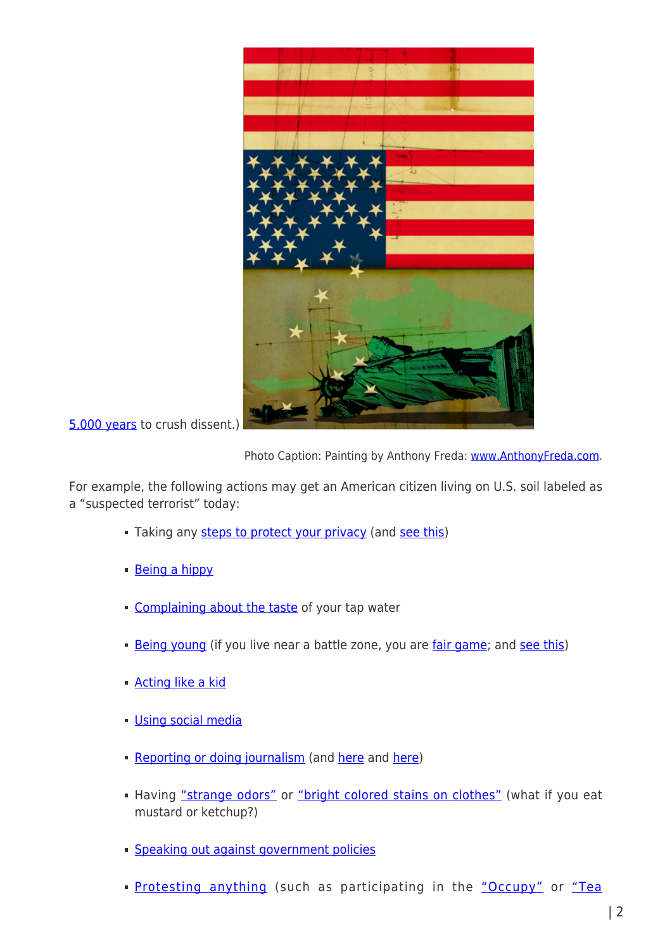

[5,000 years](http://www.washingtonsblog.com/2014/06/spying-different-time.html) to crush dissent.)

Photo Caption: Painting by Anthony Freda: [www.AnthonyFreda.com](http://www.anthonyfreda.com/).

For example, the following actions may get an American citizen living on U.S. soil labeled as a "suspected terrorist" today:

- Taking any [steps to protect your privacy](http://www.washingtonsblog.com/2014/07/nsa-targets-extremists-people-try-avoid-intrusive-spying-using-privacy-tools.html/) (and [see this\)](http://www.washingtonsblog.com/2013/10/chief-dhs-privacy-officer-government-called-privacy-office-terrorists.html)
- [Being a hippy](http://missoulian.com/news/local/missoula-police-seek-homeland-security-grant-cite-rainbow-family-as/article_dd23a072-c72a-5d4f-bb26-f19fc4af82ac.html)
- [Complaining about the taste](http://www.networkworld.com/community/blog/you-might-be-terrorist-if-you-complain-about-your-tap-water) of your tap water
- [Being young](http://www.wired.com/dangerroom/2012/10/insider-threat/) (if you live near a battle zone, you are [fair game;](http://www.washingtonsblog.com/2012/06/u-s-labels-all-young-men-in-battle-zones-as-militants-and-american-soil-is-now-considered-a-battle-zone.html) and [see this](http://www.washingtonsblog.com/2012/12/no-child-left-behind.html))
- [Acting like a kid](http://www.oaoa.com/news/education/article_6b47c224-a8d2-11e4-8989-1f5b0d13dadd.html)
- **[Using social media](http://www.wired.com/dangerroom/2012/10/insider-threat/)**
- **[Reporting or doing journalism](http://www.washingtonsblog.com/2012/09/in-america-journalists-are-considered-terrorists.html)** (and [here](http://www.theguardian.com/media/2010/dec/19/assange-high-tech-terrorist-biden) and [here](http://www.rawstory.com/rs/2013/06/11/rep-peter-king-punish-journalists-who-report-classified-information/))
- Having ["strange odors"](http://oathkeepers.org/oath/2011/08/10/7769/) or ["bright colored stains on clothes"](http://oathkeepers.org/oath/2011/08/10/7769/) (what if you eat mustard or ketchup?)
- **[Speaking out against government policies](http://www.counterpunch.org/cohn09302006.html)**
- **[Protesting anything](http://www.washingtonsblog.com/2011/11/in-modern-america-liking-peace-is-considered-terrorism.html)** (such as participating in the ["Occupy"](http://www.nytimes.com/2012/12/25/nyregion/occupy-movement-was-investigated-by-fbi-counterterrorism-agents-records-show.html?_r=0) or ["Tea](http://www.politico.com/news/stories/0811/60421.html)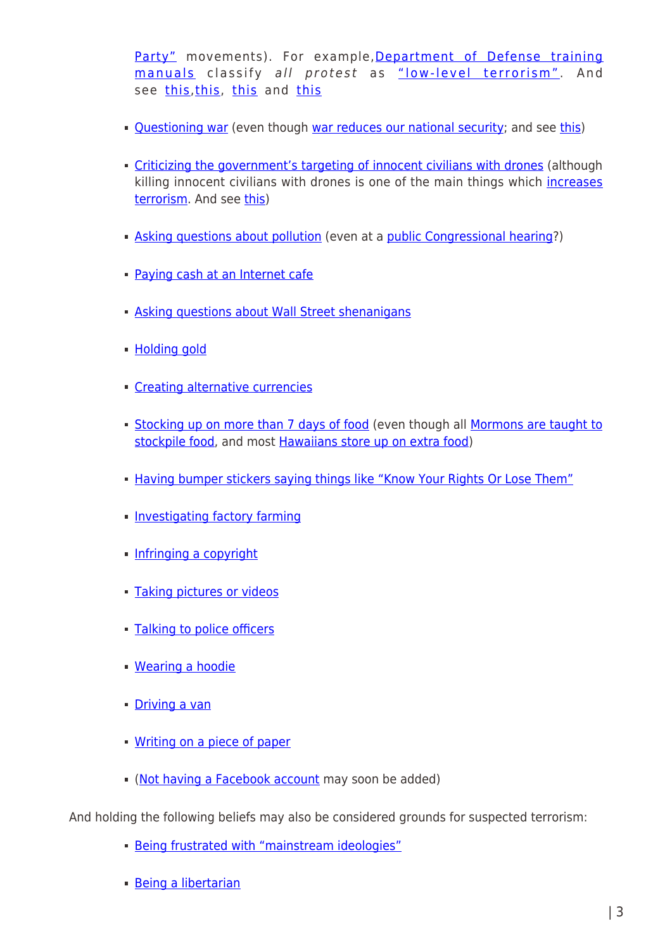[Party"](http://www.politico.com/news/stories/0811/60421.html) movements). For example,[Department of Defense training](http://open.salon.com/blog/dennis_loo/2009/06/14/dod_training_manual_protests_are_low-level_terrorism) [manuals](http://open.salon.com/blog/dennis_loo/2009/06/14/dod_training_manual_protests_are_low-level_terrorism) classify all protest as ["low-level terrorism"](http://www.washingtonsblog.com/2012/09/the-real-meaning-of-the-1-year-anniversary-of-occupy-wall-street.html#). And see [this,](http://www.washingtonsblog.com/2014/08/explain-snipers-shadowing-occupy-protests.html) [this,](http://www.foxnews.com/story/0,2933,526972,00.html) [this](http://www.contracostatimes.com/politics/ci_12589887) and this

- Ouestioning war (even though [war reduces our national security](http://www.washingtonsblog.com/2011/04/four-stories-this-week-prove-that-the-war-on-terror-is-a-farce.html); and see [this\)](http://www.washingtonsblog.com/2011/11/nobel-prize-winning-economist-war-is-widely-thought-to-be-linked-to-economic-good-times-nonsense.html)
- **Criticizing the government's targeting of innocent civilians with drones** (although killing innocent civilians with drones is one of the main things which [increases](http://www.washingtonsblog.com/2010/01/nice-work-creating-new-terrorists-you.html) [terrorism](http://www.washingtonsblog.com/2010/01/nice-work-creating-new-terrorists-you.html). And see [this](http://www.washingtonsblog.com/2010/10/why-were-losing-the-war-on-terror.html))
- [Asking questions about pollution](http://www.washingtonsblog.com/2011/11/in-modern-america-liking-peace-is-considered-terrorism.html) (even at a [public Congressional hearing](http://www.usnews.com/news/articles/2012/02/02/documentary-filmmaker-josh-fox-arrested-at-fracking-hearing)?)
- **[Paying cash at an Internet cafe](http://www.boilingfrogspost.com/2012/02/06/fbi-enlists-internet-cafe-owners-to-spy-on-customers-2/)**
- [Asking questions about Wall Street shenanigans](http://www.washingtonsblog.com/2011/11/in-modern-america-liking-peace-is-considered-terrorism.html)
- **[Holding gold](http://www.washingtonsblog.com/2011/11/in-modern-america-liking-peace-is-considered-terrorism.html)**
- **[Creating alternative currencies](http://www.nysun.com/editorials/a-unique-form-of-terrorism/87269/)**
- **[Stocking up on more than 7 days of food](http://www.youtube.com/watch?v=UXKfEsgLLRU&feature=related)** (even though all [Mormons are taught to](http://jenny-evans.suite101.com/why-do-mormons-store-food-a284336) [stockpile food](http://jenny-evans.suite101.com/why-do-mormons-store-food-a284336), and most [Hawaiians store up on extra food](http://whatreallyhappened.com/node/156535))
- [Having bumper stickers saying things like "Know Your Rights Or Lose Them"](http://www.infowars.com/doj-funded-training-manual-lists-bumper-stickers-as-terrorism/)
- **[Investigating factory farming](http://www.latimes.com/news/local/environment/la-me-gs-fbi-tracking-animal-videotapers-as-terrorists-20111229,0,5919114.story)**
- **[Infringing a copyright](http://www.washingtonsblog.com/2013/08/counter-terror-gone-crazy-copyright-infringement-is-being-treated-as-terrorism.html)**
- **[Taking pictures or videos](http://www.washingtonsblog.com/2008/09/in-a-fascist-state-cameras-equal-terrorism.html)**
- **[Talking to police officers](http://www.infowars.com/dhs-video-characterizes-white-americans-as-most-likely-terrorists/)**
- [Wearing a hoodie](http://www.infowars.com/dhs-video-characterizes-white-americans-as-most-likely-terrorists/)
- **[Driving a van](http://www.infowars.com/dhs-video-characterizes-white-americans-as-most-likely-terrorists/)**
- **[Writing on a piece of paper](http://www.infowars.com/dhs-video-characterizes-white-americans-as-most-likely-terrorists/)**
- [\(Not having a Facebook account](http://www.dailymail.co.uk/news/article-2184658/Is-joining-Facebook-sign-youre-psychopath-Some-employers-psychologists-say-suspicious.html) may soon be added)

And holding the following beliefs may also be considered grounds for suspected terrorism:

- [Being frustrated with "mainstream ideologies"](http://www.wired.com/dangerroom/2012/10/insider-threat/)
- [Being a libertarian](http://www.washingtonsblog.com/2011/11/in-modern-america-liking-peace-is-considered-terrorism.html)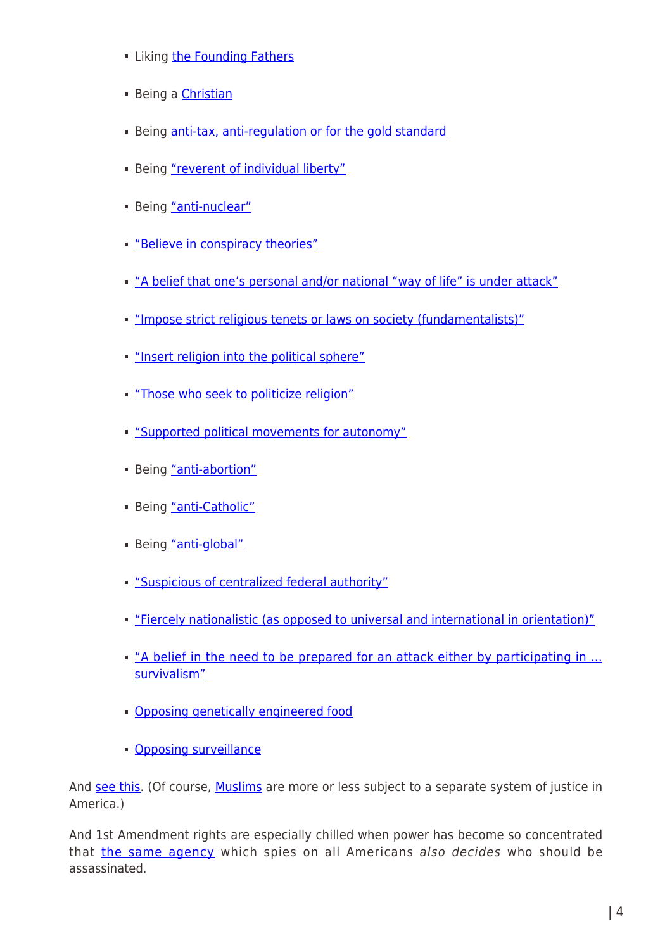- **E.** Liking [the Founding Fathers](http://www.youtube.com/watch?v=6oP1Ke70Mi8)
- **Being a [Christian](http://www.youtube.com/watch?v=6oP1Ke70Mi8)**
- Being [anti-tax, anti-regulation or for the gold standard](http://www.reuters.com/article/2012/02/07/us-usa-fbi-extremists-idUSTRE81600V20120207)
- Being ["reverent of individual liberty"](http://www.washingtonsblog.com/2012/02/government-uses-anti-terror-laws-to-crush-dissent-and-help-big-business.html)
- Being ["anti-nuclear"](http://www.washingtonsblog.com/2012/02/government-uses-anti-terror-laws-to-crush-dissent-and-help-big-business.html)
- ["Believe in conspiracy theories"](http://www.washingtonsblog.com/2012/02/government-uses-anti-terror-laws-to-crush-dissent-and-help-big-business.html)
- ["A belief that one's personal and/or national "way of life" is under attack"](http://www.washingtonsblog.com/2012/02/government-uses-anti-terror-laws-to-crush-dissent-and-help-big-business.html)
- ["Impose strict religious tenets or laws on society \(fundamentalists\)"](http://www.washingtonsblog.com/2012/02/government-uses-anti-terror-laws-to-crush-dissent-and-help-big-business.html)
- ["Insert religion into the political sphere"](http://www.washingtonsblog.com/2012/02/government-uses-anti-terror-laws-to-crush-dissent-and-help-big-business.html)
- ["Those who seek to politicize religion"](http://www.washingtonsblog.com/2012/02/government-uses-anti-terror-laws-to-crush-dissent-and-help-big-business.html)
- ["Supported political movements for autonomy"](http://www.washingtonsblog.com/2012/02/government-uses-anti-terror-laws-to-crush-dissent-and-help-big-business.html)
- **Being ["anti-abortion"](http://www.washingtonsblog.com/2012/02/government-uses-anti-terror-laws-to-crush-dissent-and-help-big-business.html)**
- **Being ["anti-Catholic"](http://www.washingtonsblog.com/2012/02/government-uses-anti-terror-laws-to-crush-dissent-and-help-big-business.html)**
- Being ["anti-global"](http://www.washingtonsblog.com/2012/02/government-uses-anti-terror-laws-to-crush-dissent-and-help-big-business.html)
- ["Suspicious of centralized federal authority"](http://www.washingtonsblog.com/2012/02/government-uses-anti-terror-laws-to-crush-dissent-and-help-big-business.html)
- ["Fiercely nationalistic \(as opposed to universal and international in orientation\)"](http://www.washingtonsblog.com/2012/02/government-uses-anti-terror-laws-to-crush-dissent-and-help-big-business.html)
- "A belief in the need to be prepared for an attack either by participating in ... [survivalism"](http://www.washingtonsblog.com/2012/02/government-uses-anti-terror-laws-to-crush-dissent-and-help-big-business.html)
- [Opposing genetically engineered food](http://www.infowars.com/doj-funded-training-manual-lists-bumper-stickers-as-terrorism/)
- **[Opposing surveillance](http://www.infowars.com/dhs-video-characterizes-white-americans-as-most-likely-terrorists/)**

And [see this](http://thetruthwins.com/archives/72-types-of-americans-that-are-considered-potential-terrorists-in-official-government-documents). (Of course, [Muslims](http://www.guardian.co.uk/commentisfree/2012/dec/12/hsbc-prosecution-fine-money-laundering) are more or less subject to a separate system of justice in America.)

And 1st Amendment rights are especially chilled when power has become so concentrated that [the same agency](http://www.washingtonsblog.com/2012/10/the-same-secret-government-agency-which-spies-on-all-americans-also-decides-who-gets-assassinated-by-drones.html) which spies on all Americans also decides who should be assassinated.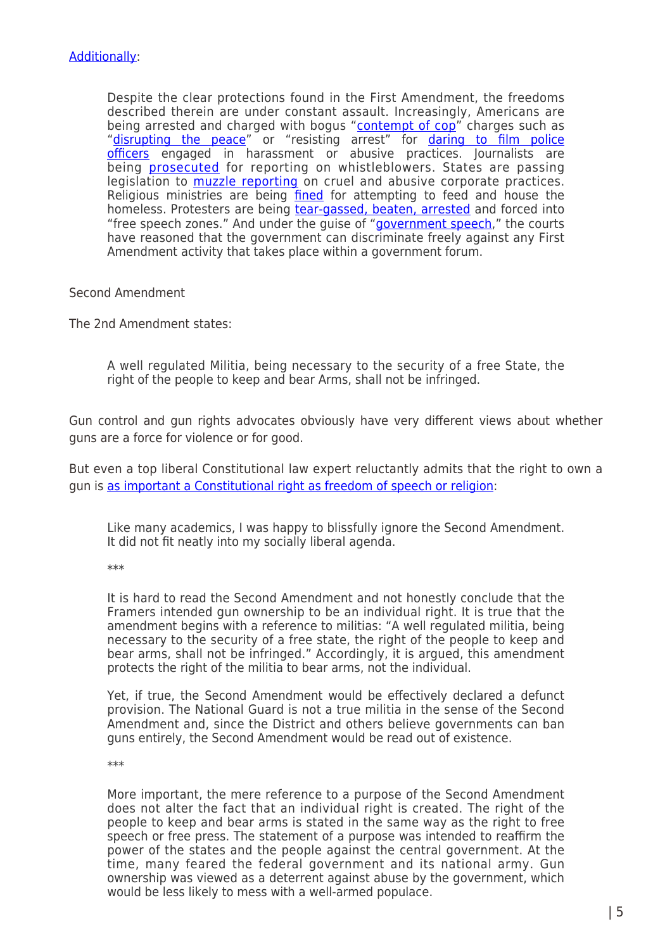Despite the clear protections found in the First Amendment, the freedoms described therein are under constant assault. Increasingly, Americans are being arrested and charged with bogus ["contempt of cop](http://www.slate.com/blogs/the_slatest/2015/07/22/sandra_bland_arrest_contempt_of_cop_is_not_illegal.html)" charges such as ["disrupting the peace"](https://www.techdirt.com/articles/20140905/07011828427/cop-to-cameraman-if-youre-invoking-your-rights-you-must-be-doing-something-wrong.shtml) or "resisting arrest" for [daring to film police](http://photographyisnotacrime.com/2014/09/09/tired-cop-blocked-arlington-police-arrest-three-cop-watchers-confiscate-cell-phones/) [officers](http://photographyisnotacrime.com/2014/09/09/tired-cop-blocked-arlington-police-arrest-three-cop-watchers-confiscate-cell-phones/) engaged in harassment or abusive practices. Journalists are being [prosecuted](http://www.huffingtonpost.com/2014/08/17/james-risen-obama_n_5685705.html) for reporting on whistleblowers. States are passing legislation to **muzzle reporting** on cruel and abusive corporate practices. Religious ministries are being [fined](http://blog.chron.com/believeitornot/2011/11/homeless-ministry-says-dallas-food-ordinance-restricts-their-religious-freedom/) for attempting to feed and house the homeless. Protesters are being [tear-gassed, beaten, arrested](http://www.thenation.com/article/181337/anatomy-fergusons-police-riot) and forced into "free speech zones." And under the guise of ["government speech,](http://www.scotusblog.com/case-files/cases/walker-v-texas-division-sons-of-confederate-veterans-inc/)" the courts have reasoned that the government can discriminate freely against any First Amendment activity that takes place within a government forum.

Second Amendment

The 2nd Amendment states:

A well regulated Militia, being necessary to the security of a free State, the right of the people to keep and bear Arms, shall not be infringed.

Gun control and gun rights advocates obviously have very different views about whether guns are a force for violence or for good.

But even a top liberal Constitutional law expert reluctantly admits that the right to own a gun is [as important a Constitutional right as freedom of speech or religion](http://www.washingtonsblog.com/2013/02/top-liberal-constitutional-law-expert-gun-ownership-is-an-individual-constitutional-right-as-important-as-freedom-of-speech-or-religion.html):

Like many academics, I was happy to blissfully ignore the Second Amendment. It did not fit neatly into my socially liberal agenda.

\*\*\*

It is hard to read the Second Amendment and not honestly conclude that the Framers intended gun ownership to be an individual right. It is true that the amendment begins with a reference to militias: "A well regulated militia, being necessary to the security of a free state, the right of the people to keep and bear arms, shall not be infringed." Accordingly, it is argued, this amendment protects the right of the militia to bear arms, not the individual.

Yet, if true, the Second Amendment would be effectively declared a defunct provision. The National Guard is not a true militia in the sense of the Second Amendment and, since the District and others believe governments can ban guns entirely, the Second Amendment would be read out of existence.

\*\*\*

More important, the mere reference to a purpose of the Second Amendment does not alter the fact that an individual right is created. The right of the people to keep and bear arms is stated in the same way as the right to free speech or free press. The statement of a purpose was intended to reaffirm the power of the states and the people against the central government. At the time, many feared the federal government and its national army. Gun ownership was viewed as a deterrent against abuse by the government, which would be less likely to mess with a well-armed populace.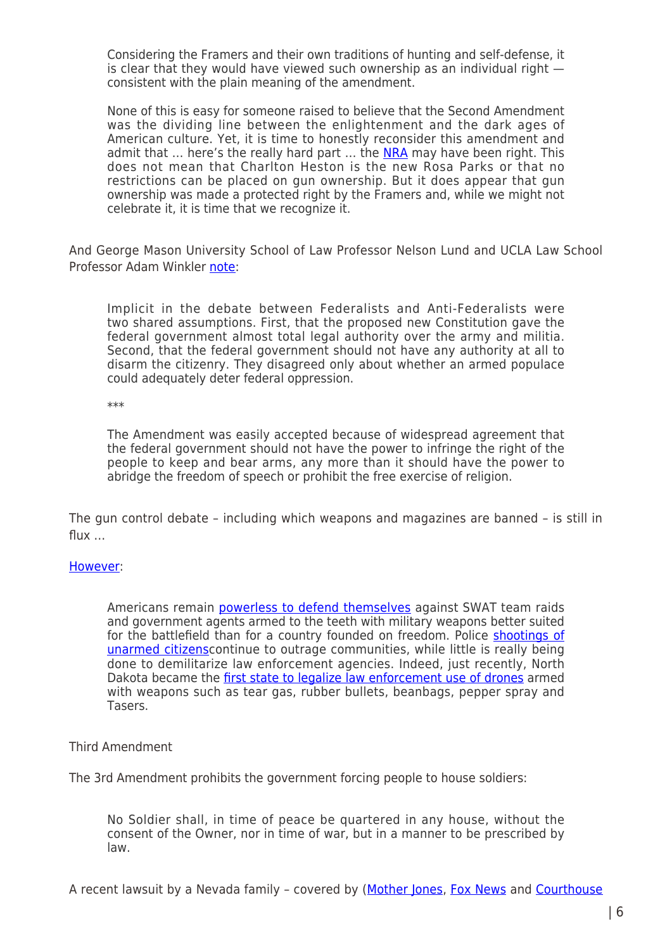Considering the Framers and their own traditions of hunting and self-defense, it is clear that they would have viewed such ownership as an individual right consistent with the plain meaning of the amendment.

None of this is easy for someone raised to believe that the Second Amendment was the dividing line between the enlightenment and the dark ages of American culture. Yet, it is time to honestly reconsider this amendment and admit that  $\ldots$  here's the really hard part  $\ldots$  the [NRA](http://www.washingtonsblog.com/2013/02/top-liberal-constitutional-law-expert-gun-ownership-is-an-individual-constitutional-right-as-important-as-freedom-of-speech-or-religion.html#) may have been right. This does not mean that Charlton Heston is the new Rosa Parks or that no restrictions can be placed on gun ownership. But it does appear that gun ownership was made a protected right by the Framers and, while we might not celebrate it, it is time that we recognize it.

And George Mason University School of Law Professor Nelson Lund and UCLA Law School Professor Adam Winkler [note:](http://constitutioncenter.org/interactive-constitution/amendments/amendment-ii)

Implicit in the debate between Federalists and Anti-Federalists were two shared assumptions. First, that the proposed new Constitution gave the federal government almost total legal authority over the army and militia. Second, that the federal government should not have any authority at all to disarm the citizenry. They disagreed only about whether an armed populace could adequately deter federal oppression.

\*\*\*

The Amendment was easily accepted because of widespread agreement that the federal government should not have the power to infringe the right of the people to keep and bear arms, any more than it should have the power to abridge the freedom of speech or prohibit the free exercise of religion.

The gun control debate – including which weapons and magazines are banned – is still in flux  $\dots$ 

# [However:](http://www.washingtonsblog.com/2015/09/give-me-liberty-or-give-me-death-the-loss-of-our-freedoms-in-the-wake-of-911.html)

Americans remain [powerless to defend themselves](http://www.alternet.org/news-amp-politics/what-happens-when-civilian-kills-cop-self-defense) against SWAT team raids and government agents armed to the teeth with military weapons better suited for the battlefield than for a country founded on freedom. Police [shootings of](http://www.npr.org/sections/thetwo-way/2015/08/12/431816968/texas-police-officer-fired-after-fatally-shooting-unarmed-college-student) [unarmed citizens](http://www.npr.org/sections/thetwo-way/2015/08/12/431816968/texas-police-officer-fired-after-fatally-shooting-unarmed-college-student)continue to outrage communities, while little is really being done to demilitarize law enforcement agencies. Indeed, just recently, North Dakota became the [first state to legalize law enforcement use of drones](http://www.npr.org/sections/thetwo-way/2015/08/27/435301160/north-dakota-legalizes-armed-police-drones) armed with weapons such as tear gas, rubber bullets, beanbags, pepper spray and Tasers.

# Third Amendment

The 3rd Amendment prohibits the government forcing people to house soldiers:

No Soldier shall, in time of peace be quartered in any house, without the consent of the Owner, nor in time of war, but in a manner to be prescribed by law.

A recent lawsuit by a Nevada family – covered by [\(Mother Jones](http://www.motherjones.com/mojo/2013/07/brief-history-third-amendment-cases), [Fox News](http://www.foxnews.com/politics/2013/07/08/family-booted-from-home-for-police-detail-suing-with-rare-use-third-amendment/) and [Courthouse](https://www.courthousenews.com/2013/07/03/59061.htm)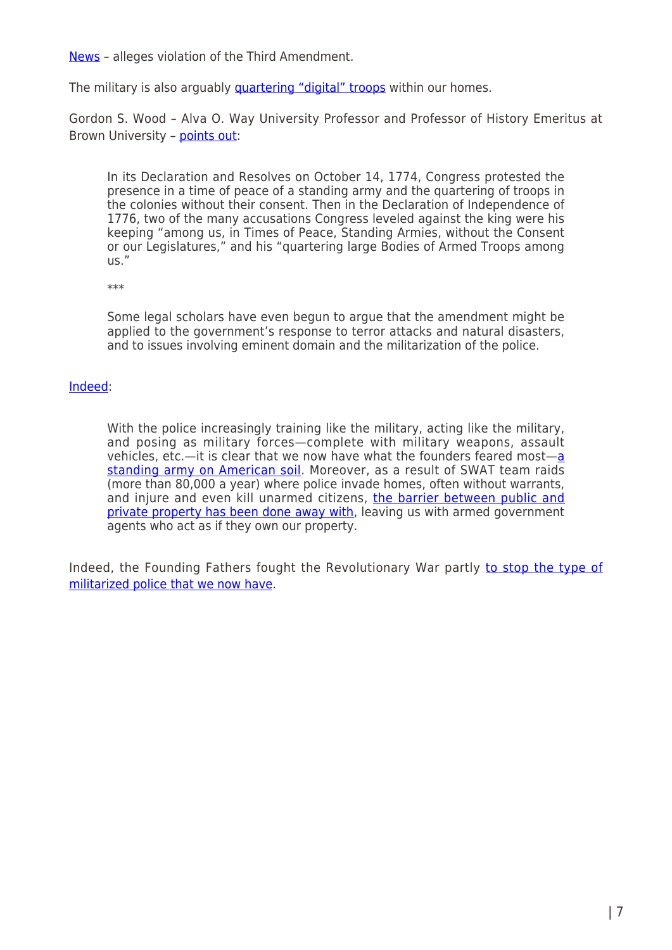[News](https://www.courthousenews.com/2013/07/03/59061.htm) – alleges violation of the Third Amendment.

The military is also arguably *quartering "digital" troops* within our homes.

Gordon S. Wood – Alva O. Way University Professor and Professor of History Emeritus at Brown University - [points out:](http://constitutioncenter.org/interactive-constitution/amendments/amendment-iii)

In its Declaration and Resolves on October 14, 1774, Congress protested the presence in a time of peace of a standing army and the quartering of troops in the colonies without their consent. Then in the Declaration of Independence of 1776, two of the many accusations Congress leveled against the king were his keeping "among us, in Times of Peace, Standing Armies, without the Consent or our Legislatures," and his "quartering large Bodies of Armed Troops among us."

\*\*\*

Some legal scholars have even begun to argue that the amendment might be applied to the government's response to terror attacks and natural disasters, and to issues involving eminent domain and the militarization of the police.

#### [Indeed:](http://www.washingtonsblog.com/2015/09/give-me-liberty-or-give-me-death-the-loss-of-our-freedoms-in-the-wake-of-911.html)

With the police increasingly training like the military, acting like the military, and posing as military forces—complete with military weapons, assault vehicles, etc.—it is clear that we now have what the founders feared most—[a](https://www.washingtonpost.com/news/volokh-conspiracy/wp/2015/03/23/federal-court-rejects-third-amendment-claim-against-police-officers/) [standing army on American soil.](https://www.washingtonpost.com/news/volokh-conspiracy/wp/2015/03/23/federal-court-rejects-third-amendment-claim-against-police-officers/) Moreover, as a result of SWAT team raids (more than 80,000 a year) where police invade homes, often without warrants, and injure and even kill unarmed citizens, [the barrier between public and](https://www.washingtonpost.com/news/volokh-conspiracy/wp/2015/03/23/federal-court-rejects-third-amendment-claim-against-police-officers/) [private property has been done away with](https://www.washingtonpost.com/news/volokh-conspiracy/wp/2015/03/23/federal-court-rejects-third-amendment-claim-against-police-officers/), leaving us with armed government agents who act as if they own our property.

Indeed, the Founding Fathers fought the Revolutionary War partly [to stop the type of](http://www.washingtonsblog.com/2014/08/founding-fathers-fought-war-stop-militarized-police.html) [militarized police that we now have.](http://www.washingtonsblog.com/2014/08/founding-fathers-fought-war-stop-militarized-police.html)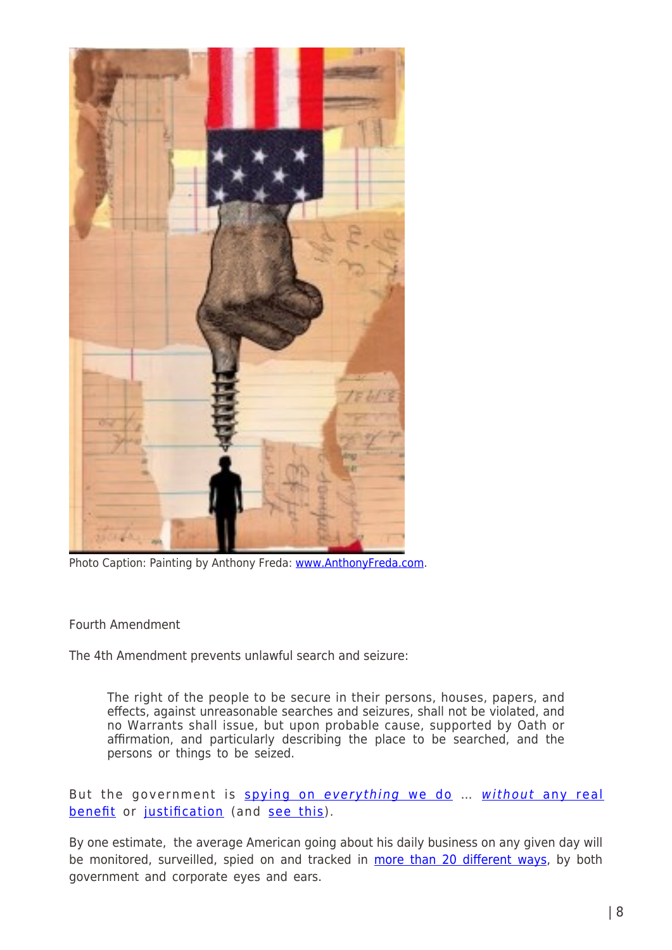

Photo Caption: Painting by Anthony Freda: [www.AnthonyFreda.com.](http://www.anthonyfreda.com/)

Fourth Amendment

The 4th Amendment prevents unlawful search and seizure:

The right of the people to be secure in their persons, houses, papers, and effects, against unreasonable searches and seizures, shall not be violated, and no Warrants shall issue, but upon probable cause, supported by Oath or affirmation, and particularly describing the place to be searched, and the persons or things to be seized.

But the government is [spying on](http://www.washingtonsblog.com/2013/10/security-expert-the-details-matter-less-and-less-we-have-to-assume-that-the-nsa-has-everyone-who-uses-electronic-communications-under-constant-surveillance.html) [everything](http://www.washingtonsblog.com/2013/10/security-expert-the-details-matter-less-and-less-we-have-to-assume-that-the-nsa-has-everyone-who-uses-electronic-communications-under-constant-surveillance.html) [we do](http://www.washingtonsblog.com/2013/10/security-expert-the-details-matter-less-and-less-we-have-to-assume-that-the-nsa-has-everyone-who-uses-electronic-communications-under-constant-surveillance.html) ... [without](http://www.washingtonsblog.com/2013/10/nsa-spying-did-not-result-in-one-stopped-terrorist-plot-and-the-government-actually-did-spy-on-the-bad-guys-before-911.html) [any real](http://www.washingtonsblog.com/2013/10/nsa-spying-did-not-result-in-one-stopped-terrorist-plot-and-the-government-actually-did-spy-on-the-bad-guys-before-911.html) [benefit](http://www.washingtonsblog.com/2013/10/nsa-spying-did-not-result-in-one-stopped-terrorist-plot-and-the-government-actually-did-spy-on-the-bad-guys-before-911.html) or [justification](http://www.washingtonsblog.com/2014/06/spying-different-time.html) (and [see this](http://gizmodo.com/maryland-police-used-an-indiscriminate-cellphone-spy-to-1774831661)).

By one estimate, the average American going about his daily business on any given day will be monitored, surveilled, spied on and tracked in [more than 20 different ways,](http://www.washingtonsblog.com/2016/05/given-day-average-american-going-daily-business-will-monitored-surveilled-spied-tracked-20-different-ways-government-corporate-eyes-ears.html) by both government and corporate eyes and ears.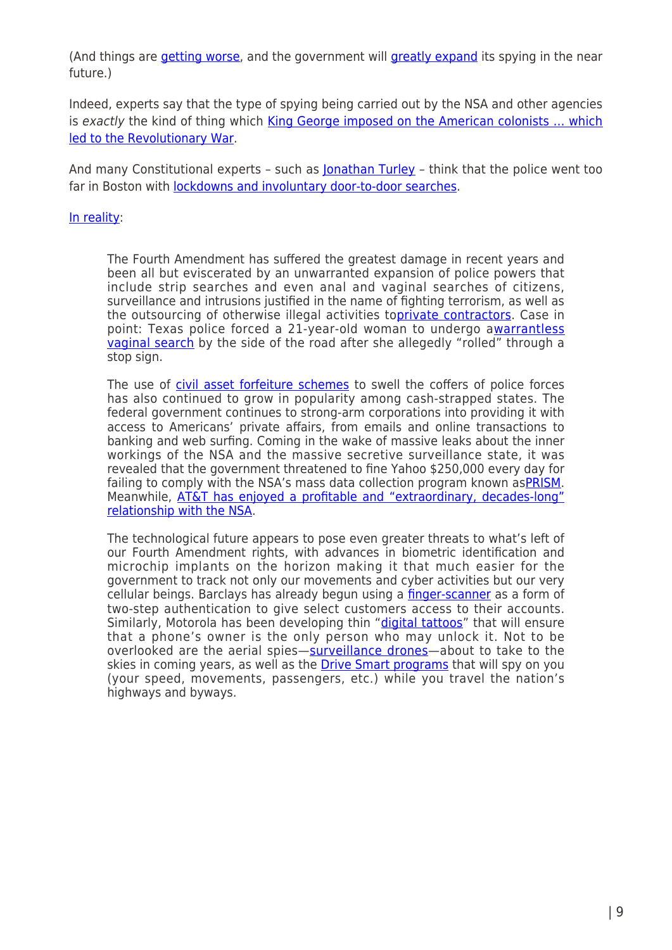(And things are [getting worse,](https://theintercept.com/2016/05/03/nsa-and-cia-double-their-warrantless-searches-on-americans-in-two-years/) and the government will [greatly expand](http://www.washingtonsblog.com/2016/02/whole-point-internet-things-big-brother-can-spy.html) its spying in the near future.)

Indeed, experts say that the type of spying being carried out by the NSA and other agencies is exactly the kind of thing which [King George imposed on the American colonists … which](http://www.washingtonsblog.com/2013/07/nsa-spying-is-exactly-the-kind-of-thing-which-caused-the-revolutionary-war-against-king-george.html) [led to the Revolutionary War](http://www.washingtonsblog.com/2013/07/nsa-spying-is-exactly-the-kind-of-thing-which-caused-the-revolutionary-war-against-king-george.html).

And many Constitutional experts - such as **[Jonathan Turley](http://jonathanturley.org/2013/04/29/the-pavlovian-politics-of-terror/)** - think that the police went too far in Boston with [lockdowns and involuntary door-to-door searches.](http://www.washingtonsblog.com/2013/04/did-the-military-and-police-go-too-far-in-locking-down-boston-and-conducting-involuntary-door-to-door-searches.html)

# [In reality](http://www.washingtonsblog.com/2015/09/give-me-liberty-or-give-me-death-the-loss-of-our-freedoms-in-the-wake-of-911.html):

The Fourth Amendment has suffered the greatest damage in recent years and been all but eviscerated by an unwarranted expansion of police powers that include strip searches and even anal and vaginal searches of citizens, surveillance and intrusions justified in the name of fighting terrorism, as well as the outsourcing of otherwise illegal activities to[private contractors](http://reason.com/blog/2014/09/11/constitution-cramp-your-law-enforcement). Case in point: Texas police forced a 21-year-old woman to undergo a[warrantless](http://www.chron.com/news/houston-texas/houston/article/Woman-claims-constitutional-violation-in-vaginal-6431919.php) [vaginal search](http://www.chron.com/news/houston-texas/houston/article/Woman-claims-constitutional-violation-in-vaginal-6431919.php) by the side of the road after she allegedly "rolled" through a stop sign.

The use of [civil asset forfeiture schemes](http://www.cbc.ca/news/world/american-shakedown-police-won-t-charge-you-but-they-ll-grab-your-money-1.2760736) to swell the coffers of police forces has also continued to grow in popularity among cash-strapped states. The federal government continues to strong-arm corporations into providing it with access to Americans' private affairs, from emails and online transactions to banking and web surfing. Coming in the wake of massive leaks about the inner workings of the NSA and the massive secretive surveillance state, it was revealed that the government threatened to fine Yahoo \$250,000 every day for failing to comply with the NSA's mass data collection program known as[PRISM](http://www.wired.com/2014/09/feds-yahoo-fine-prism/). Meanwhile, [AT&T has enjoyed a profitable and "extraordinary, decades-long"](http://www.theguardian.com/us-news/2015/aug/15/att-nsa-internet-surveillance-new-york-times-propublica) [relationship with the NSA](http://www.theguardian.com/us-news/2015/aug/15/att-nsa-internet-surveillance-new-york-times-propublica).

The technological future appears to pose even greater threats to what's left of our Fourth Amendment rights, with advances in biometric identification and microchip implants on the horizon making it that much easier for the government to track not only our movements and cyber activities but our very cellular beings. Barclays has already begun using a [finger-scanner](http://www.zerohedge.com/news/2014-09-10/era-widespread-biometric-indentification-and-microchip-implants-here) as a form of two-step authentication to give select customers access to their accounts. Similarly, Motorola has been developing thin "[digital tattoos](http://www.zerohedge.com/news/2014-09-10/era-widespread-biometric-indentification-and-microchip-implants-here)" that will ensure that a phone's owner is the only person who may unlock it. Not to be overlooked are the aerial spies—[surveillance drones—](https://www.justsecurity.org/25657/big-business-police-surveillance-technology/)about to take to the skies in coming years, as well as the [Drive Smart programs](http://www.silive.com/opinion/columns/index.ssf/2015/09/dots_drive_smart_volunteering.html) that will spy on you (your speed, movements, passengers, etc.) while you travel the nation's highways and byways.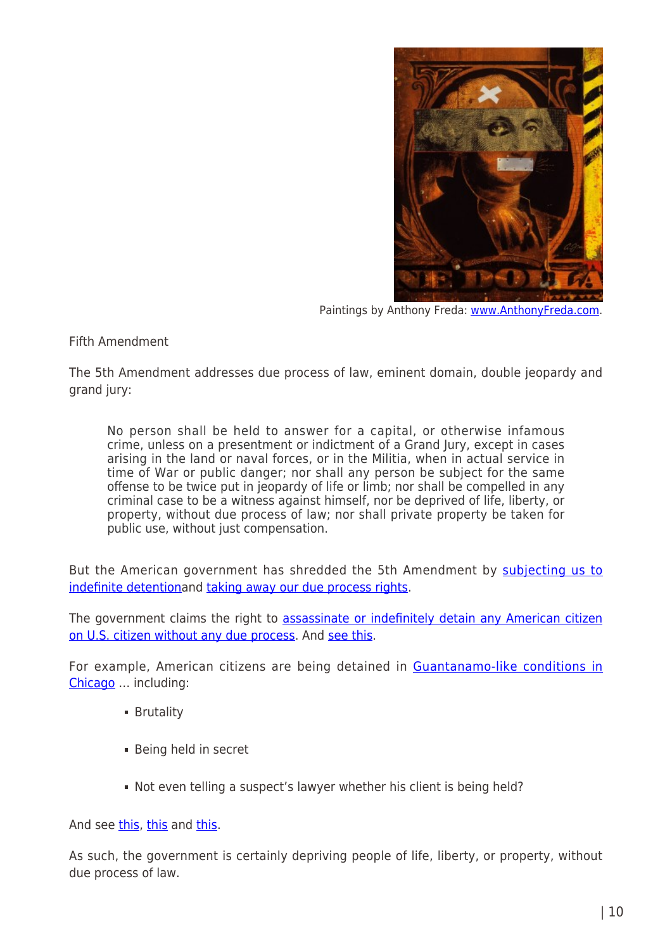

Paintings by Anthony Freda: [www.AnthonyFreda.com](http://www.anthonyfreda.com/).

Fifth Amendment

The 5th Amendment addresses due process of law, eminent domain, double jeopardy and grand jury:

No person shall be held to answer for a capital, or otherwise infamous crime, unless on a presentment or indictment of a Grand Jury, except in cases arising in the land or naval forces, or in the Militia, when in actual service in time of War or public danger; nor shall any person be subject for the same offense to be twice put in jeopardy of life or limb; nor shall be compelled in any criminal case to be a witness against himself, nor be deprived of life, liberty, or property, without due process of law; nor shall private property be taken for public use, without just compensation.

But the American government has shredded the 5th Amendment by [subjecting us to](http://www.theatlantic.com/politics/archive/2012/12/scandal-alert-congress-is-quietly-abandoning-the-5th-amendment/266498/) [indefinite detentiona](http://www.theatlantic.com/politics/archive/2012/12/scandal-alert-congress-is-quietly-abandoning-the-5th-amendment/266498/)nd [taking away our due process rights.](http://www.washingtonsblog.com/2012/08/governments-indefinitely-detaining-citizens-in-psychiatric-wards-without-due-process-of-law.html)

The government claims the right to [assassinate or indefinitely detain any American citizen](http://www.washingtonsblog.com/2011/12/constitutional-expert-president-obama-says-that-he-can-kill-you-on-his-own-discretion-he-can-jail-you-indefinitely-on-his-own-discretion.html) [on U.S. citizen without any due process](http://www.washingtonsblog.com/2011/12/constitutional-expert-president-obama-says-that-he-can-kill-you-on-his-own-discretion-he-can-jail-you-indefinitely-on-his-own-discretion.html). And [see this](http://www.washingtonsblog.com/2012/10/the-same-secret-government-agency-which-spies-on-all-americans-also-decides-who-gets-assassinated-by-drones.html).

For example, American citizens are being detained in [Guantanamo-like conditions in](http://www.theguardian.com/us-news/2015/feb/24/chicago-police-detain-americans-black-site?CMP=share_btn_tw) [Chicago](http://www.theguardian.com/us-news/2015/feb/24/chicago-police-detain-americans-black-site?CMP=share_btn_tw) … including:

- **Brutality**
- Being held in secret
- Not even telling a suspect's lawyer whether his client is being held?

And see [this,](http://www.nytimes.com/2014/11/29/world/americas/un-torture-panel-concerns-with-united-states-security-practices.html) [this](http://en.wikipedia.org/wiki/Torture_in_the_United_States) and [this.](http://ccrjustice.org/solitary-factsheet)

As such, the government is certainly depriving people of life, liberty, or property, without due process of law.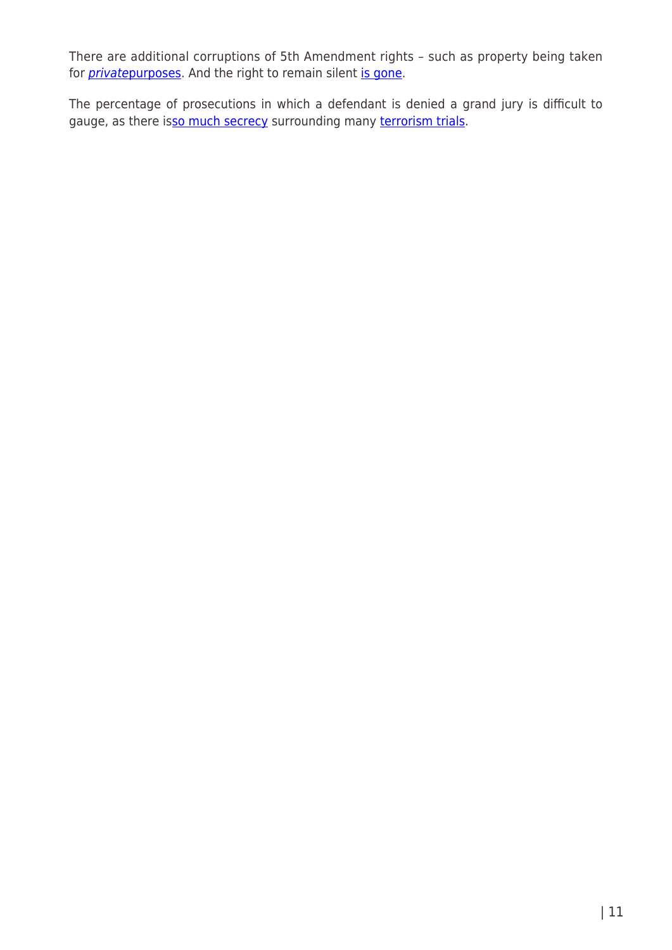There are additional corruptions of 5th Amendment rights – such as property being taken for *[private](http://www.ij.org/new-london-connecticut-release-7-12-2005)purposes*. And the right to remain silent [is gone](http://www.slate.com/articles/news_and_politics/jurisprudence/2013/06/salinas_v_texas_right_to_remain_silent_supreme_court_right_to_remain_silent.html).

The percentage of prosecutions in which a defendant is denied a grand jury is difficult to gauge, as there i[sso much secrecy](http://www.washingtonsblog.com/2013/01/u-s-government-claims-that-the-situation-is-so-complicated-and-dangerous-that-it-must-act-on-secret-information-just-like-the-nazis.html) surrounding many [terrorism trials](http://www.washingtonsblog.com/2013/01/911-military-trial-judge-frustrated-by-government-censorship-like-the-911-commissioners.html).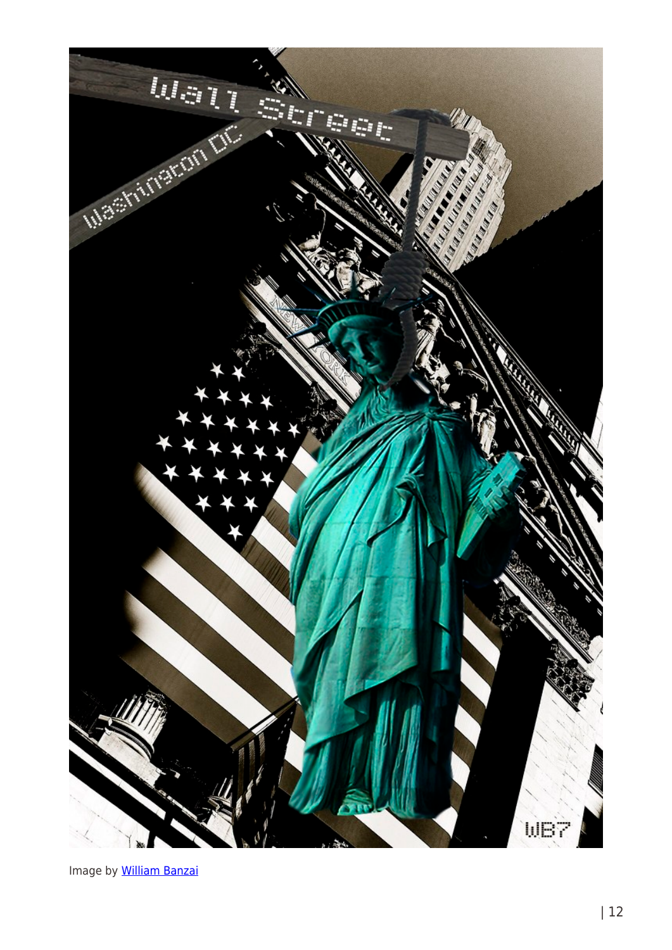

Image by **[William Banzai](http://williambanzai7.blogspot.com/)**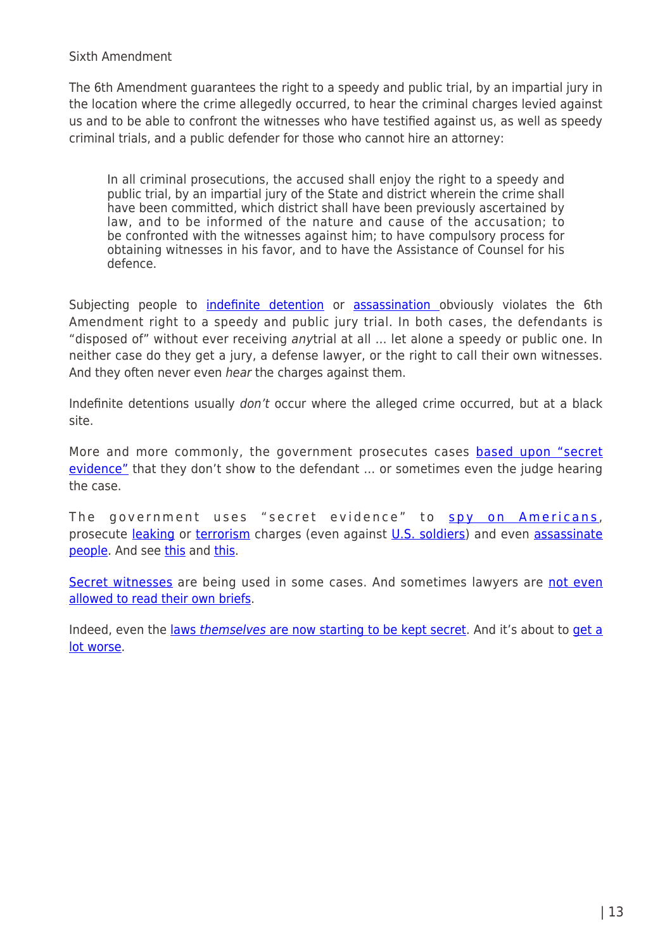Sixth Amendment

The 6th Amendment guarantees the right to a speedy and public trial, by an impartial jury in the location where the crime allegedly occurred, to hear the criminal charges levied against us and to be able to confront the witnesses who have testified against us, as well as speedy criminal trials, and a public defender for those who cannot hire an attorney:

In all criminal prosecutions, the accused shall enjoy the right to a speedy and public trial, by an impartial jury of the State and district wherein the crime shall have been committed, which district shall have been previously ascertained by law, and to be informed of the nature and cause of the accusation; to be confronted with the witnesses against him; to have compulsory process for obtaining witnesses in his favor, and to have the Assistance of Counsel for his defence.

Subjecting people to *indefinite detention* or [assassination](http://www.washingtonsblog.com/2011/12/constitutional-expert-president-obama-says-that-he-can-kill-you-on-his-own-discretion-he-can-jail-you-indefinitely-on-his-own-discretion.html) obviously violates the 6th Amendment right to a speedy and public jury trial. In both cases, the defendants is "disposed of" without ever receiving anytrial at all … let alone a speedy or public one. In neither case do they get a jury, a defense lawyer, or the right to call their own witnesses. And they often never even *hear* the charges against them.

Indefinite detentions usually don't occur where the alleged crime occurred, but at a black site.

More and more commonly, the government prosecutes cases [based upon "secret](http://www.washingtonsblog.com/2013/01/u-s-government-claims-that-the-situation-is-so-complicated-and-dangerous-that-it-must-act-on-secret-information-just-like-the-nazis.html) [evidence"](http://www.washingtonsblog.com/2013/01/u-s-government-claims-that-the-situation-is-so-complicated-and-dangerous-that-it-must-act-on-secret-information-just-like-the-nazis.html) that they don't show to the defendant … or sometimes even the judge hearing the case.

The government uses "secret evidence" to [spy on Americans](http://www.hofstralawreview.org/2012/05/15/secret-evidence-is-slowly-eroding-the-adversary-system-cipa-and-fisa-in-the-courts/), prosecute [leaking](http://www.politico.com/blogs/joshgerstein/1011/Judge_OKs_secret_evidence_for_CIA_leak_trial.html) or [terrorism](http://www.foxnews.com/us/2012/02/08/judge-secret-evidence-ok-in-iraqi-in-terror-case/) charges (even against [U.S. soldiers](http://news.antiwar.com/2011/12/19/manning-hearing-moves-into-secret-sessions/)) and even [assassinate](http://www.salon.com/2011/10/06/execution_by_secret_wh_committee/) [people.](http://www.salon.com/2011/10/06/execution_by_secret_wh_committee/) And see [this](http://www.wtsp.com/news/local/story.aspx?storyid=67898) and [this](http://www.dailykos.com/story/2011/04/27/970634/-Wikileaks-Documents-Reveal-Hazards-of-Blindly-Relying-on-Secret-Evidence#).

[Secret witnesses](http://www.nytimes.com/2002/06/08/opinion/a-new-court-for-terrorism.html) are being used in some cases. And sometimes lawyers are [not even](http://www.washingtonsblog.com/2009/08/well-known-lawyer-discusses-justice-department-shenanigans.html) [allowed to read their own briefs](http://www.washingtonsblog.com/2009/08/well-known-lawyer-discusses-justice-department-shenanigans.html).

Indeed, even the [laws](http://www.washingtonsblog.com/2011/05/weve-gone-from-nation-of-laws-to-nation.html) [themselves](http://www.washingtonsblog.com/2011/05/weve-gone-from-nation-of-laws-to-nation.html) [are now starting to be kept secret](http://www.washingtonsblog.com/2011/05/weve-gone-from-nation-of-laws-to-nation.html). And it's about to [get a](http://www.washingtonsblog.com/2012/06/international-treaty-negotiated-in-secret-even-hiding-the-terms-from-congressmen-with-every-reason-to-see-them-threatens-to-destroy-national-sovereignty.html) [lot worse.](http://www.washingtonsblog.com/2012/06/international-treaty-negotiated-in-secret-even-hiding-the-terms-from-congressmen-with-every-reason-to-see-them-threatens-to-destroy-national-sovereignty.html)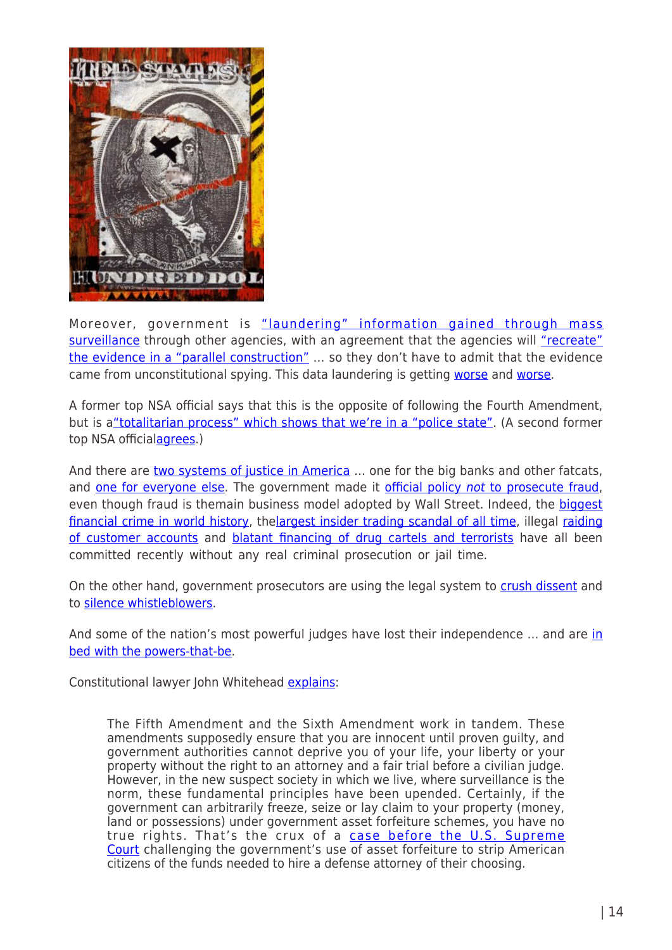

Moreover, government is ["laundering" information gained through mass](http://www.washingtonsblog.com/2013/12/former-top-nsa-official-now-police-state.html) [surveillance](http://www.washingtonsblog.com/2013/12/former-top-nsa-official-now-police-state.html) through other agencies, with an agreement that the agencies will ["recreate"](http://www.washingtonsblog.com/2014/06/senior-nsa-manager-police-state-worse-stasi-east-germany.html) [the evidence in a "parallel construction"](http://www.washingtonsblog.com/2014/06/senior-nsa-manager-police-state-worse-stasi-east-germany.html) … so they don't have to admit that the evidence came from unconstitutional spying. This data laundering is getting [worse](http://www.nytimes.com/2016/02/26/us/politics/obama-administration-set-to-expand-sharing-of-data-that-nsa-intercepts.html) and [worse](https://www.washingtonpost.com/news/the-watch/wp/2016/03/10/surprise-nsa-data-will-soon-routinely-be-used-for-domestic-policing-that-has-nothing-to-do-with-terrorism/).

A former top NSA official says that this is the opposite of following the Fourth Amendment, but is a "totalitarian process" which shows that we're in a "police state". (A second former top NSA official[agrees](http://www.washingtonsblog.com/2014/06/senior-nsa-manager-police-state-worse-stasi-east-germany.html).)

And there are [two systems of justice in America](http://www.washingtonsblog.com/2011/04/america-is-a-failed-state-with-a-dual-justice-system-one-for-ordinary-people-and-then-one-for-people-with-money-and-enormous-wealth-and-power.html) ... one for the big banks and other fatcats, and [one for everyone else](http://www.guardian.co.uk/commentisfree/2012/dec/12/hsbc-prosecution-fine-money-laundering). The government made it [official policy](http://www.washingtonsblog.com/2011/11/obama-prosecuting-fewer-financial-crimes-than-under-either-bush-presidency.html) [not](http://www.washingtonsblog.com/2011/11/obama-prosecuting-fewer-financial-crimes-than-under-either-bush-presidency.html) [to prosecute fraud,](http://www.washingtonsblog.com/2011/11/obama-prosecuting-fewer-financial-crimes-than-under-either-bush-presidency.html) even though fraud is themain business model adopted by Wall Street. Indeed, the **[biggest](”http://www.washingtonsblog.com/2012/07/11869.html”>giant)** [financial crime in world history,](”http://www.washingtonsblog.com/2012/07/11869.html”>giant) th[elargest insider trading scandal of all time](http://www.washingtonsblog.com/2012/07/libor-the-largest-insider-trading-scandal-ever.html), illegal [raiding](http://www.washingtonsblog.com/2012/03/mf-global-personally-ordered-transfer-of-customer-funds.html) [of customer accounts](http://www.washingtonsblog.com/2012/03/mf-global-personally-ordered-transfer-of-customer-funds.html) and [blatant financing of drug cartels and terrorists](http://www.washingtonsblog.com/2012/12/even-the-mainstream-media-finally-awakens-to-the-fact-that-big-banks-are-criminal-enterprises.html) have all been committed recently without any real criminal prosecution or jail time.

On the other hand, government prosecutors are using the legal system to [crush dissent](http://www.washingtonsblog.com/2012/02/government-uses-anti-terror-laws-to-crush-dissent-and-help-big-business.html) and to [silence whistleblowers](http://www.washingtonsblog.com/2012/04/obama-has-prosecuted-more-whistleblowers-than-all-other-presidents-combined.html).

And some of the nation's most powerful judges have lost their [in](http://www.washingtonsblog.com/2010/11/does-the-justice-system-actually-dispense-justice-or-does-it-just-serve-the-powers-that-be-like-the-other-branches-of-government.html)dependence ... and are in [bed with the powers-that-be](http://www.washingtonsblog.com/2010/11/does-the-justice-system-actually-dispense-justice-or-does-it-just-serve-the-powers-that-be-like-the-other-branches-of-government.html).

Constitutional lawyer John Whitehead [explains](http://www.washingtonsblog.com/2015/09/give-me-liberty-or-give-me-death-the-loss-of-our-freedoms-in-the-wake-of-911.html):

The Fifth Amendment and the Sixth Amendment work in tandem. These amendments supposedly ensure that you are innocent until proven guilty, and government authorities cannot deprive you of your life, your liberty or your property without the right to an attorney and a fair trial before a civilian judge. However, in the new suspect society in which we live, where surveillance is the norm, these fundamental principles have been upended. Certainly, if the government can arbitrarily freeze, seize or lay claim to your property (money, land or possessions) under government asset forfeiture schemes, you have no true rights. That's the crux of a [case before the U.S. Supreme](http://www.wnd.com/2015/08/now-feds-targeting-2-more-constitutional-rights/) [Court](http://www.wnd.com/2015/08/now-feds-targeting-2-more-constitutional-rights/) challenging the government's use of asset forfeiture to strip American citizens of the funds needed to hire a defense attorney of their choosing.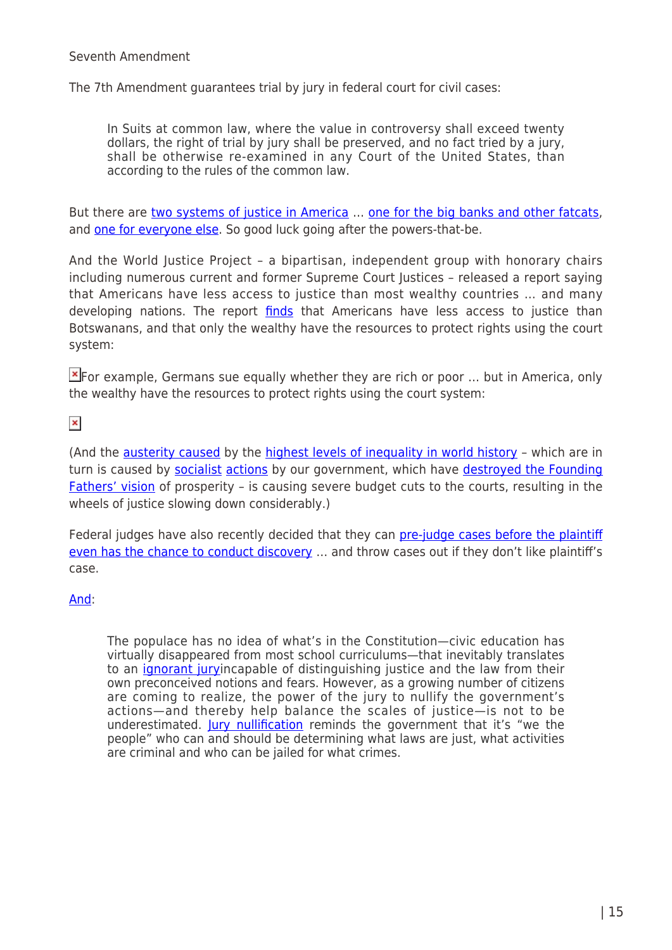#### Seventh Amendment

The 7th Amendment guarantees trial by jury in federal court for civil cases:

In Suits at common law, where the value in controversy shall exceed twenty dollars, the right of trial by jury shall be preserved, and no fact tried by a jury, shall be otherwise re-examined in any Court of the United States, than according to the rules of the common law.

But there are [two systems of justice in America](http://www.washingtonsblog.com/2011/04/america-is-a-failed-state-with-a-dual-justice-system-one-for-ordinary-people-and-then-one-for-people-with-money-and-enormous-wealth-and-power.html) … [one for the big banks and other fatcats,](http://www.democracynow.org/2014/4/15/who_goes_to_jail_matt_taibbi) and [one for everyone else.](http://www.guardian.co.uk/commentisfree/2012/dec/12/hsbc-prosecution-fine-money-laundering) So good luck going after the powers-that-be.

And the World Justice Project – a bipartisan, independent group with honorary chairs including numerous current and former Supreme Court Justices – released a report saying that Americans have less access to justice than most wealthy countries … and many developing nations. The report [finds](http://www.washingtonsblog.com/2012/11/americans-have-less-access-to-justice-than-botswanans-and-are-more-abused-by-police-than-kazakhstanis.html) that Americans have less access to justice than Botswanans, and that only the wealthy have the resources to protect rights using the court system:

 $\mathbb{E}$  [F](http://www.washingtonsblog.com/wp-content/uploads/2012/11/Access-Civil-Justice-High-Income.jpg)or example, Germans sue equally whether they are rich or poor ... but in America, only the wealthy have the resources to protect rights using the court system:

 $\pmb{\times}$ 

(And the [austerity caused](http://www.washingtonsblog.com/2012/12/its-not-a-fiscal-cliff-its-the-descent-into-lawless-anarchy.html) by the [highest levels of inequality in world history](http://www.washingtonsblog.com/2014/04/work-living-level-inequality-u-s-writes-piketty-probably-higher-society-time-past-anywhere-world.html) – which are in turn is caused by [socialist](http://www.washingtonsblog.com/2013/11/qe-wall-street-bailout.html) [actions](http://www.washingtonsblog.com/2009/10/capitalism-socialism-or-fascism.html) by our government, which have [destroyed the Founding](http://www.washingtonsblog.com/2010/10/the-founding-fathers-vision-of-prosperity-has-been-destroyed.html) [Fathers' vision](http://www.washingtonsblog.com/2010/10/the-founding-fathers-vision-of-prosperity-has-been-destroyed.html) of prosperity – is causing severe budget cuts to the courts, resulting in the wheels of justice slowing down considerably.)

Federal judges have also recently decided that they can [pre-judge cases before the plaintiff](http://www.washingtonsblog.com/2009/12/is-america-still-a-nation-of-laws.html) [even has the chance to conduct discovery](http://www.washingtonsblog.com/2009/12/is-america-still-a-nation-of-laws.html) … and throw cases out if they don't like plaintiff's case.

# [And](http://www.washingtonsblog.com/2015/09/give-me-liberty-or-give-me-death-the-loss-of-our-freedoms-in-the-wake-of-911.html):

The populace has no idea of what's in the Constitution—civic education has virtually disappeared from most school curriculums—that inevitably translates to an *[ignorant jury](http://volokh.com/2013/08/23/forthcoming-article-jury-ignorance-political-ignorance/)incapable of distinguishing justice and the law from their* own preconceived notions and fears. However, as a growing number of citizens are coming to realize, the power of the jury to nullify the government's actions—and thereby help balance the scales of justice—is not to be underestimated. [Jury nullification](https://www.washingtonpost.com/news/volokh-conspiracy/wp/2015/08/07/rethinking-jury-nullification/) reminds the government that it's "we the people" who can and should be determining what laws are just, what activities are criminal and who can be jailed for what crimes.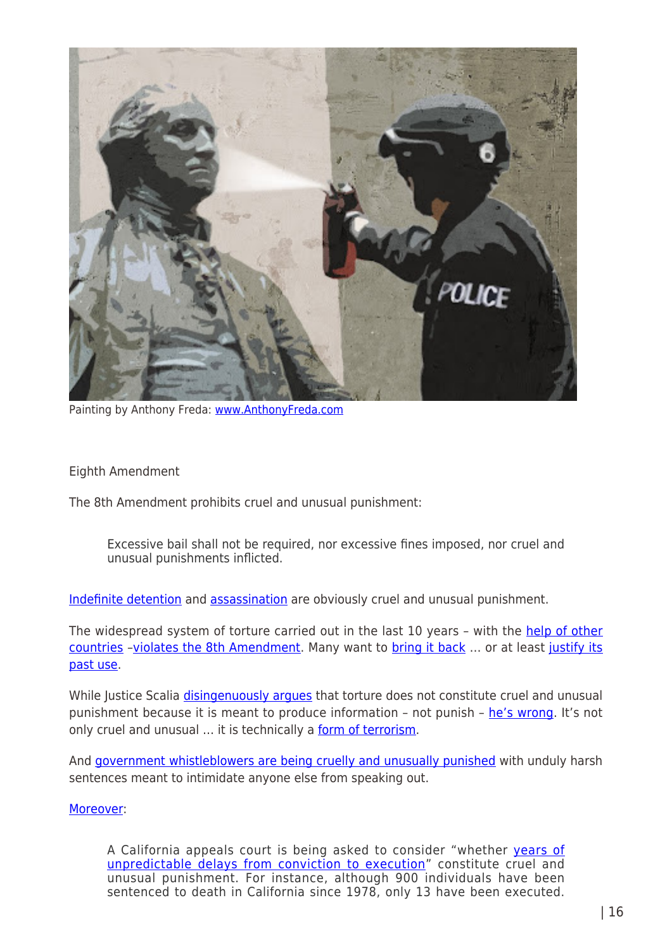

Painting by Anthony Freda: [www.AnthonyFreda.com](http://www.anthonyfreda.com/)

Eighth Amendment

The 8th Amendment prohibits cruel and unusual punishment:

Excessive bail shall not be required, nor excessive fines imposed, nor cruel and unusual punishments inflicted.

[Indefinite detention](http://www.theatlantic.com/politics/archive/2012/12/scandal-alert-congress-is-quietly-abandoning-the-5th-amendment/266498/) and [assassination](http://www.washingtonsblog.com/2011/12/constitutional-expert-president-obama-says-that-he-can-kill-you-on-his-own-discretion-he-can-jail-you-indefinitely-on-his-own-discretion.html) are obviously cruel and unusual punishment.

The widespread system of torture carried out in the last 10 years - with the [help of other](http://en-maktoob.news.yahoo.com/cia-renditions-aided-54-countries-014932627.html) [countries](http://en-maktoob.news.yahoo.com/cia-renditions-aided-54-countries-014932627.html) –[violates the 8th Amendment](http://www.washingtonsblog.com/2009/12/is-america-still-a-nation-of-laws.html). Many want to [bring it back](http://www.washingtonsblog.com/2012/05/bipartisan-congressional-bill-would-authorize-the-use-of-propaganda-on-americans-living-inside-america-because-banning-propaganda-ties-the-hands-of-americas-diplomatic-officials-mil.html) … or at least [justify its](http://www.washingtonsblog.com/2013/01/debating-torture-is-like-debating-whether-rape-is-good.html) [past use](http://www.washingtonsblog.com/2013/01/debating-torture-is-like-debating-whether-rape-is-good.html).

While Justice Scalia *disingenuously argues* that torture does not constitute cruel and unusual punishment because it is meant to produce information – not punish – [he's wrong.](http://www.washingtonsblog.com/2012/04/9-torture-myths-debunked.html) It's not only cruel and unusual ... it is technically a [form of terrorism.](http://www.washingtonsblog.com/2009/05/torture-is-a-form-of-terrorism.html)

And [government whistleblowers are being cruelly and unusually punished](http://www.washingtonsblog.com/2013/02/government-protects-criminals-by-prosecuting-whistleblower-who-expose-wrongdoing.html) with unduly harsh sentences meant to intimidate anyone else from speaking out.

# [Moreover](http://www.washingtonsblog.com/2015/09/give-me-liberty-or-give-me-death-the-loss-of-our-freedoms-in-the-wake-of-911.html):

A California appeals court is being asked to consider "whether [years of](http://sanfrancisco.cbslocal.com/2015/08/31/california-court-to-rule-if-death-penalty-delays-are-cruel-unusual/) [unpredictable delays from conviction to execution](http://sanfrancisco.cbslocal.com/2015/08/31/california-court-to-rule-if-death-penalty-delays-are-cruel-unusual/)" constitute cruel and unusual punishment. For instance, although 900 individuals have been sentenced to death in California since 1978, only 13 have been executed.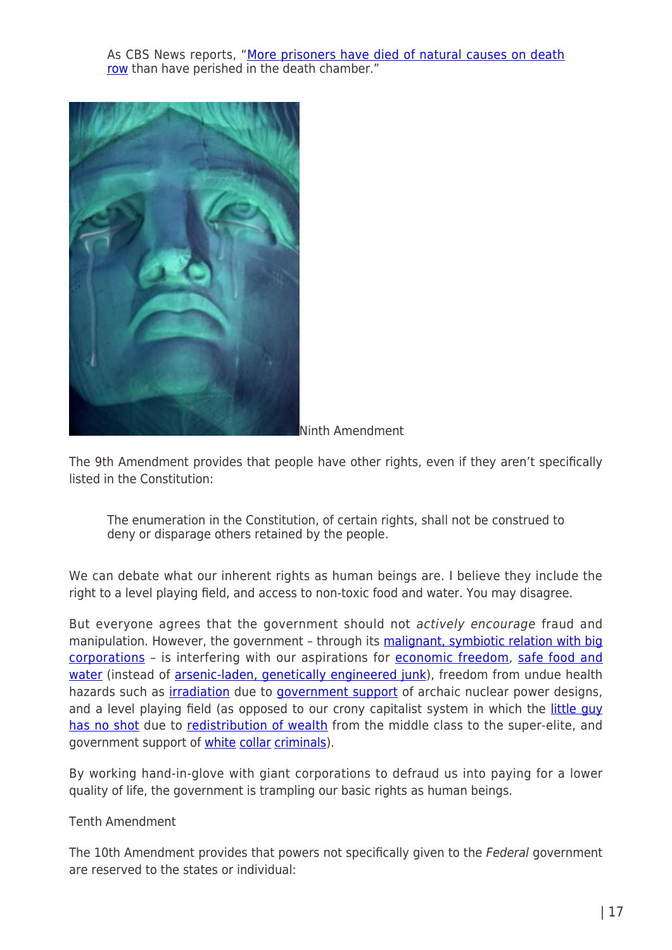As CBS News reports, "[More prisoners have died of natural causes on death](http://sanfrancisco.cbslocal.com/2015/08/31/california-court-to-rule-if-death-penalty-delays-are-cruel-unusual/) [row](http://sanfrancisco.cbslocal.com/2015/08/31/california-court-to-rule-if-death-penalty-delays-are-cruel-unusual/) than have perished in the death chamber."



Ninth Amendment

The 9th Amendment provides that people have other rights, even if they aren't specifically listed in the Constitution:

The enumeration in the Constitution, of certain rights, shall not be construed to deny or disparage others retained by the people.

We can debate what our inherent rights as human beings are. I believe they include the right to a level playing field, and access to non-toxic food and water. You may disagree.

But everyone agrees that the government should not actively encourage fraud and manipulation. However, the government - through its [malignant, symbiotic relation with big](http://www.washingtonsblog.com/2011/10/conservatives-and-liberals-agree-end-the-malignant-symbiotic-relationship-between-big-government-and-big-corporations.html) [corporations](http://www.washingtonsblog.com/2011/10/conservatives-and-liberals-agree-end-the-malignant-symbiotic-relationship-between-big-government-and-big-corporations.html) - is interfering with our aspirations for [economic freedom](http://www.washingtonsblog.com/2012/12/its-not-a-fiscal-cliff-its-the-descent-into-lawless-anarchy.html), [safe food and](http://www.washingtonsblog.com/2010/11/we-can-fix-america-if-we-focus-on-what-all-americans-liberals-and-conservatives-want.html) [water](http://www.washingtonsblog.com/2010/11/we-can-fix-america-if-we-focus-on-what-all-americans-liberals-and-conservatives-want.html) (instead of [arsenic-laden, genetically engineered junk\)](http://www.washingtonsblog.com/2013/02/genetically-engineered-meat-skirts-testing-because-its-treated-as-an-animal-drug.html), freedom from undue health hazards such as *[irradiation](http://www.washingtonsblog.com/2012/04/nuclear-power-is-expensive-and-bad-for-the-environment-it-is-really-being-pushed-because-it-is-good-for-making-bombs.html)* due to *government support* of archaic nuclear power designs, and a level playing field (as opposed to our crony capitalist system in which the [little guy](http://www.washingtonsblog.com/2011/08/by-choosing-the-big-banks-over-the-little-guy-the-government-is-dooming-both.html) [has no shot](http://www.washingtonsblog.com/2011/08/by-choosing-the-big-banks-over-the-little-guy-the-government-is-dooming-both.html) due to [redistribution of wealth](http://www.washingtonsblog.com/2013/02/more-rape-of-americans-by-elites-more-erosion-of-freedom.html) from the middle class to the super-elite, and government support of *white [collar](http://www.washingtonsblog.com/2012/07/regulators-sleep-with-industry-provided-prostitutes-while-they-pimp-out-the-american-people.html) [criminals](http://www.washingtonsblog.com/2012/07/corrupt-government-officials-should-be-in-jail-alongside-corrupt-banksters.html)*).

By working hand-in-glove with giant corporations to defraud us into paying for a lower quality of life, the government is trampling our basic rights as human beings.

#### Tenth Amendment

The 10th Amendment provides that powers not specifically given to the Federal government are reserved to the states or individual: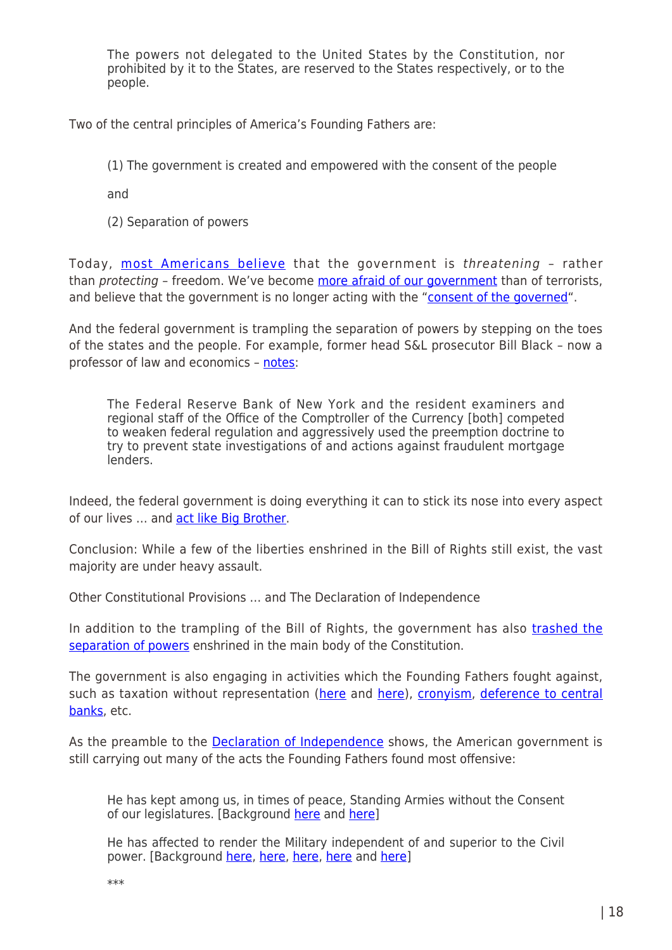The powers not delegated to the United States by the Constitution, nor prohibited by it to the States, are reserved to the States respectively, or to the people.

Two of the central principles of America's Founding Fathers are:

(1) The government is created and empowered with the consent of the people

and

(2) Separation of powers

Today, [most Americans believe](http://www.washingtonsblog.com/2013/02/majority-of-americans-say-federal-government-threatens-freedom.html) that the government is threatening - rather than *protecting - freedom.* We've become [more afraid of our government](http://www.washingtonsblog.com/2013/04/multiple-polls-americans-are-more-afraid-of-the-government-than-terrorists.html) than of terrorists, and believe that the government is no longer acting with the ["consent of the governed](http://www.washingtonsblog.com/2010/02/only-21-say-u-s-government-has-consent-of-the-governed-those-with-the-lowest-incomes-are-the-most-skeptical.html)".

And the federal government is trampling the separation of powers by stepping on the toes of the states and the people. For example, former head S&L prosecutor Bill Black – now a professor of law and economics – [notes](http://www.economonitor.com/blog/2012/09/the-race-to-the-bottom-produces-regulators-who-are-invertebrates-and-epidemics-of-fraud/):

The Federal Reserve Bank of New York and the resident examiners and regional staff of the Office of the Comptroller of the Currency [both] competed to weaken federal regulation and aggressively used the preemption doctrine to try to prevent state investigations of and actions against fraudulent mortgage lenders.

Indeed, the federal government is doing everything it can to stick its nose into every aspect of our lives … and [act like Big Brother](http://www.washingtonsblog.com/2012/12/moores-law-cheap-electronics-and-homeland-security-money-combine-to-create-big-brother.html).

Conclusion: While a few of the liberties enshrined in the Bill of Rights still exist, the vast majority are under heavy assault.

Other Constitutional Provisions … and The Declaration of Independence

In addition to the trampling of the Bill of Rights, the government has also [trashed the](http://www.washingtonsblog.com/2013/07/america-no-longer-has-a-functioning-judiciary.html) [separation of powers](http://www.washingtonsblog.com/2013/07/america-no-longer-has-a-functioning-judiciary.html) enshrined in the main body of the Constitution.

The government is also engaging in activities which the Founding Fathers fought against, such as taxation without representation ([here](http://www.washingtonsblog.com/2009/03/bailouts-are-taxation-without-representation.html) and [here\)](http://www.washingtonsblog.com/2011/08/the-super-congress-taxation-without-representation.html), [cronyism](http://www.washingtonsblog.com/2011/11/the-occupy-movement-is-protesting-the-same-thing-that-the-founding-fathers-protested-at-the-boston-tea-party.html), [deference to central](http://www.washingtonsblog.com/2013/03/stunning-facts-about-how-the-banking-system-really-works-and-how-it-is-destroying-america.html) [banks](http://www.washingtonsblog.com/2013/03/stunning-facts-about-how-the-banking-system-really-works-and-how-it-is-destroying-america.html), etc.

As the preamble to the **[Declaration of Independence](http://www.archives.gov/exhibits/charters/declaration_transcript.html)** shows, the American government is still carrying out many of the acts the Founding Fathers found most offensive:

He has kept among us, in times of peace, Standing Armies without the Consent of our legislatures. [Background [here](http://www.washingtonsblog.com/2014/08/founding-fathers-fought-war-stop-militarized-police.html) and [here](http://www.washingtonsblog.com/2011/11/the-founding-fathers-warned-against-standing-armies.html)]

He has affected to render the Military independent of and superior to the Civil power. [Background [here,](http://www.washingtonsblog.com/2014/03/senate-intelligence-chairman-think-im-chairman-intelligence-committee-just-say-want-give-control-al.html) [here](http://www.washingtonsblog.com/2013/10/chairman-of-the-senate-judiciary-committee-we-get-more-info-on-nsa-spying-in-the-newspapers-than-in-classified-briefings.html), [here](http://www.washingtonsblog.com/2014/03/deep-state.html), [here](http://www.washingtonsblog.com/2014/11/now-longest-continuous-period-war-american-history.html) and here]

\*\*\*